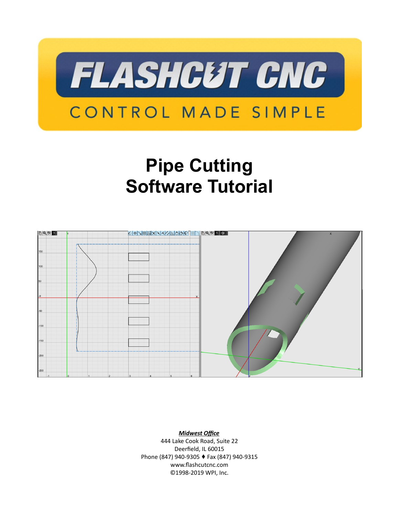

# **Pipe Cutting Software Tutorial**



*Midwest Office* 444 Lake Cook Road, Suite 22 Deerfield, IL 60015 Phone (847) 940-9305 ♦ Fax (847) 940-9315 www.flashcutcnc.com ©1998-2019 WPI, Inc.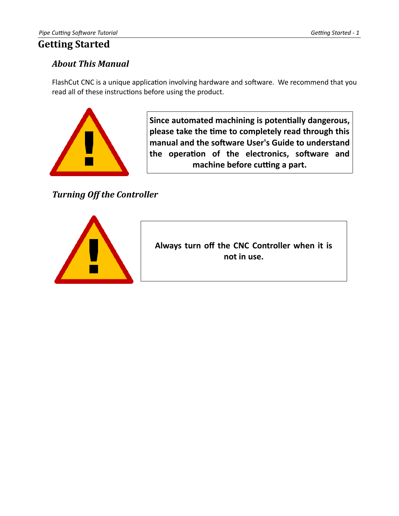# <span id="page-2-2"></span>**Getting Started**

## <span id="page-2-1"></span>*About This Manual*

FlashCut CNC is a unique application involving hardware and software. We recommend that you read all of these instructions before using the product.



**Since automated machining is potentially dangerous, please take the time to completely read through this manual and the software User's Guide to understand the operation of the electronics, software and machine before cutting a part.**

<span id="page-2-0"></span>*Turning Off the Controller*



**Always turn off the CNC Controller when it is not in use.**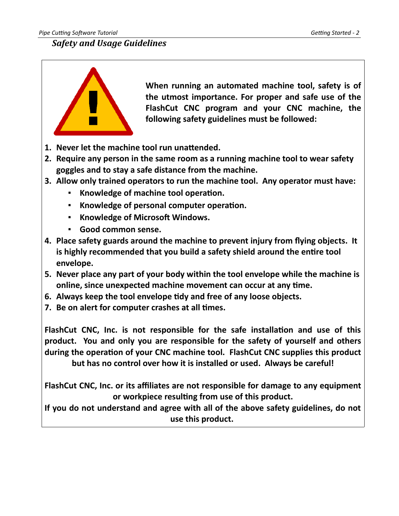## <span id="page-3-0"></span>*Safety and Usage Guidelines*



**When running an automated machine tool, safety is of the utmost importance. For proper and safe use of the FlashCut CNC program and your CNC machine, the following safety guidelines must be followed:** 

- **1. Never let the machine tool run unattended.**
- **2. Require any person in the same room as a running machine tool to wear safety goggles and to stay a safe distance from the machine.**
- **3. Allow only trained operators to run the machine tool. Any operator must have:**
	- **Knowledge of machine tool operation.**
	- **Knowledge of personal computer operation.**
	- **Knowledge of Microsoft Windows.**
	- **Good common sense.**
- **4. Place safety guards around the machine to prevent injury from flying objects. It is highly recommended that you build a safety shield around the entire tool envelope.**
- **5. Never place any part of your body within the tool envelope while the machine is online, since unexpected machine movement can occur at any time.**
- **6. Always keep the tool envelope tidy and free of any loose objects.**
- **7. Be on alert for computer crashes at all times.**

**FlashCut CNC, Inc. is not responsible for the safe installation and use of this product. You and only you are responsible for the safety of yourself and others during the operation of your CNC machine tool. FlashCut CNC supplies this product but has no control over how it is installed or used. Always be careful!**

**FlashCut CNC, Inc. or its affiliates are not responsible for damage to any equipment or workpiece resulting from use of this product.**

**If you do not understand and agree with all of the above safety guidelines, do not use this product.**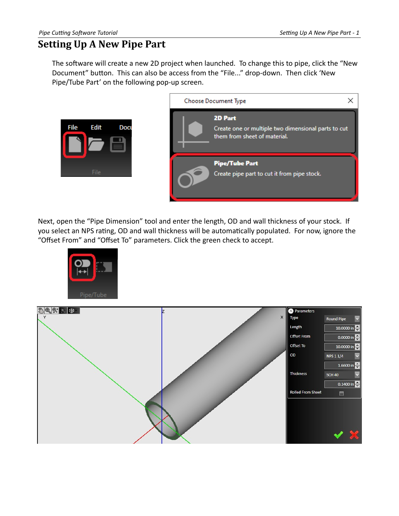# <span id="page-4-0"></span>**Setting Up A New Pipe Part**

The software will create a new 2D project when launched. To change this to pipe, click the "New Document" button. This can also be access from the "File..." drop-down. Then click 'New Pipe/Tube Part' on the following pop-up screen.



Next, open the "Pipe Dimension" tool and enter the length, OD and wall thickness of your stock. If you select an NPS rating, OD and wall thickness will be automatically populated. For now, ignore the "Offset From" and "Offset To" parameters. Click the green check to accept.



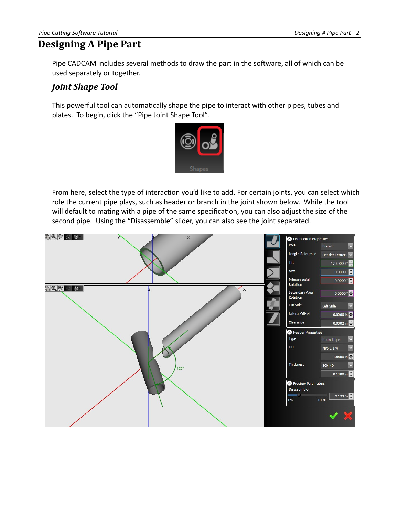## <span id="page-5-1"></span>**Designing A Pipe Part**

Pipe CADCAM includes several methods to draw the part in the software, all of which can be used separately or together.

#### <span id="page-5-0"></span>*Joint Shape Tool*

This powerful tool can automatically shape the pipe to interact with other pipes, tubes and plates. To begin, click the "Pipe Joint Shape Tool".



From here, select the type of interaction you'd like to add. For certain joints, you can select which role the current pipe plays, such as header or branch in the joint shown below. While the tool will default to mating with a pipe of the same specification, you can also adjust the size of the second pipe. Using the "Disassemble" slider, you can also see the joint separated.

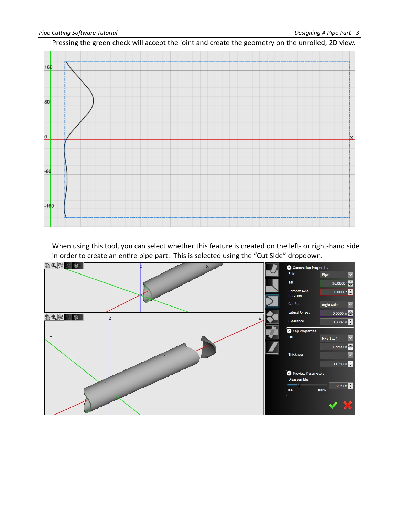Pressing the green check will accept the joint and create the geometry on the unrolled, 2D view.



When using this tool, you can select whether this feature is created on the left- or right-hand side in order to create an entire pipe part. This is selected using the "Cut Side" dropdown.

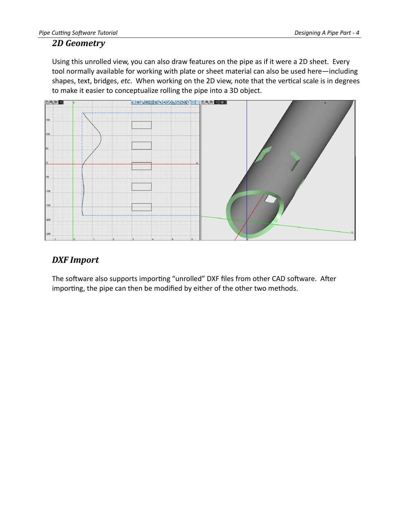#### <span id="page-7-1"></span>*2D Geometry*

Using this unrolled view, you can also draw features on the pipe as if it were a 2D sheet. Every tool normally available for working with plate or sheet material can also be used here—including shapes, text, bridges, *etc*. When working on the 2D view, note that the vertical scale is in degrees to make it easier to conceptualize rolling the pipe into a 3D object.



## <span id="page-7-0"></span>*DXF Import*

The software also supports importing "unrolled" DXF files from other CAD software. After importing, the pipe can then be modified by either of the other two methods.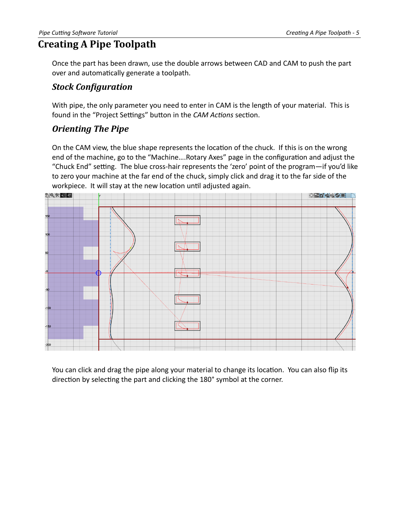## <span id="page-8-2"></span>**Creating A Pipe Toolpath**

Once the part has been drawn, use the double arrows between CAD and CAM to push the part over and automatically generate a toolpath.

#### <span id="page-8-1"></span>*Stock Configuration*

With pipe, the only parameter you need to enter in CAM is the length of your material. This is found in the "Project Settings" button in the *CAM Actions* section.

#### <span id="page-8-0"></span>*Orienting The Pipe*

On the CAM view, the blue shape represents the location of the chuck. If this is on the wrong end of the machine, go to the "Machine….Rotary Axes" page in the configuration and adjust the "Chuck End" setting. The blue cross-hair represents the 'zero' point of the program—if you'd like to zero your machine at the far end of the chuck, simply click and drag it to the far side of the workpiece. It will stay at the new location until adjusted again.



You can click and drag the pipe along your material to change its location. You can also flip its direction by selecting the part and clicking the 180° symbol at the corner.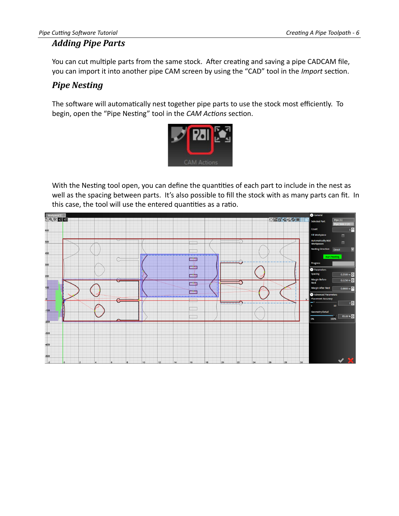## <span id="page-9-1"></span>*Adding Pipe Parts*

You can cut multiple parts from the same stock. After creating and saving a pipe CADCAM file, you can import it into another pipe CAM screen by using the "CAD" tool in the *Import* section.

## <span id="page-9-0"></span>*Pipe Nesting*

The software will automatically nest together pipe parts to use the stock most efficiently. To begin, open the "Pipe Nesting" tool in the *CAM Actions* section.



With the Nesting tool open, you can define the quantities of each part to include in the nest as well as the spacing between parts. It's also possible to fill the stock with as many parts can fit. In this case, the tool will use the entered quantities as a ratio.